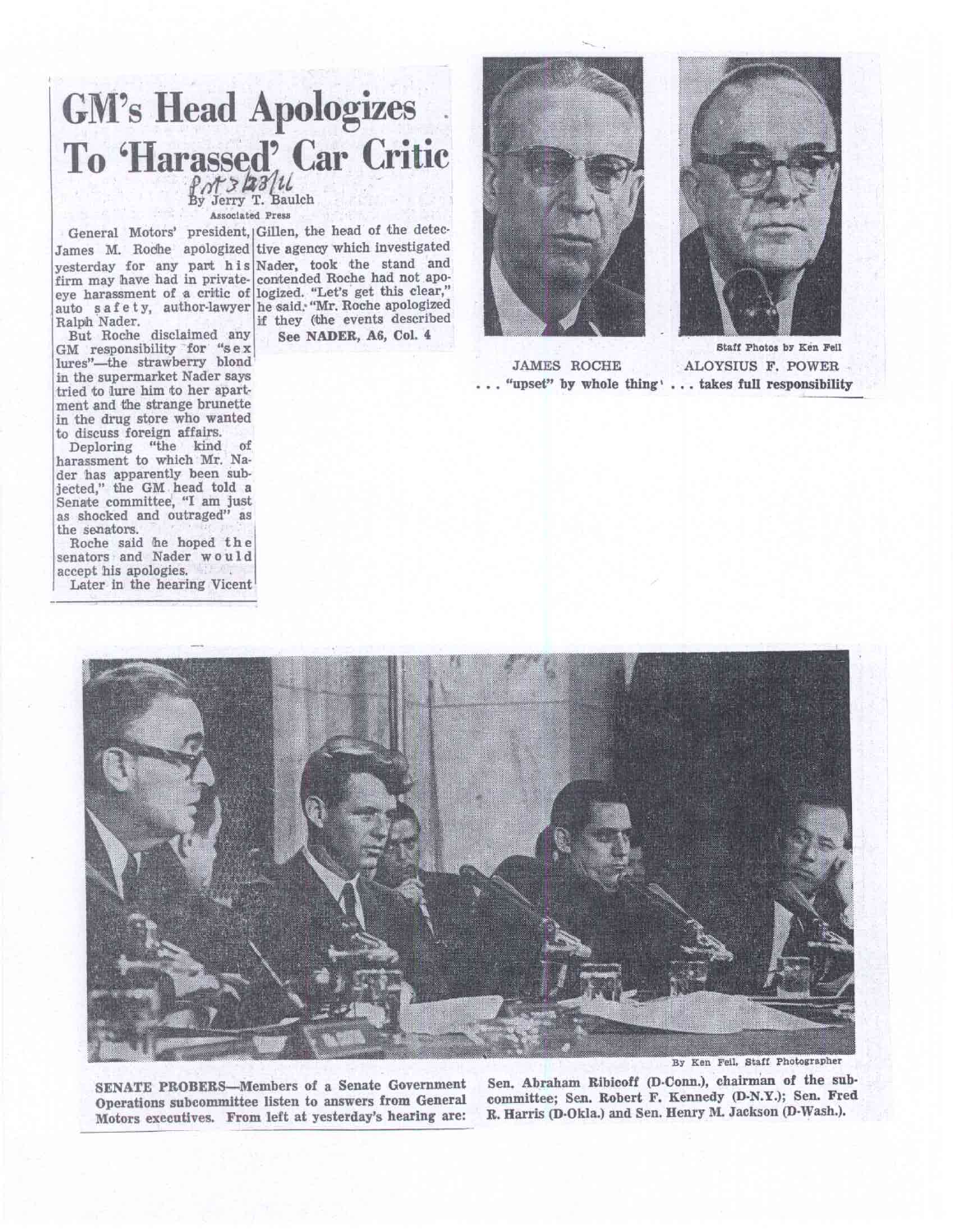## *ti3'/ .tt* fy Jerry T. aulch **GM's Head Apologizes To 'Harassed' Car Critic**

Assodated Press

firm may have had in privateeye harassment of a critic of Ralph Nader. James M. Roche apologized tive agency which investigated

But Roche disclaimed any GM responsibility for "se x lures"—the strawberry blond in the supermarket Nader says tried to lure him to her apartment and the strange brunette in the drug store who wanted to discuss foreign affairs.

Deploring "the kind of harassment to which Mr. Nader has apparently been subjected," the GM head told a Senate committee, "I am just as shocked and outraged" as the senators.

Roche said he hoped the senators and Nader would accept his apologies. Later in the hearing Vicent

yesterday for any part his Nader, took the stand and auto s a f e t y, author-lawyer he said: "Mr. Roche apologized contended Roche had not apologized. "Let's get this clear," if they (the events described General Motors' president, Gillen, the head of the detec-

See NADER, A6, **Col.** 4





JAMES ROCHE ALOYSIUS F. POWER . . . "upset" **by whole thing' ... takes full responsibility** 



**SENATE PROBERS—Members of a Senate Government Operations subcommittee listen to answers from General Motors executives. From left at yesterday's hearing are:**  By Kan Fell, **Staff Photographer** 

Sen. Abraham **Ribicoff (D.Conn.), chairman of the subcommittee;** Sen. **Robert F. Kennedy (D-N.Y.); Sen. Fred R. Harris (D-Okla.) and Sen. Henry M. Jackson (D-Wash.).**